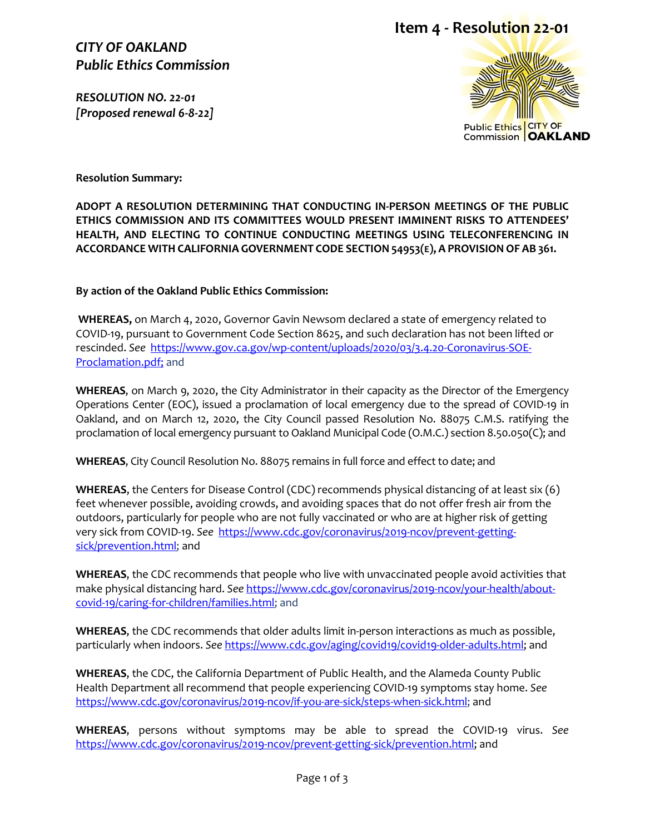*CITY OF OAKLAND Public Ethics Commission*

*RESOLUTION NO. 22-01 [Proposed renewal 6-8-22]* 

## **Item 4 - Resolution 22-01**



**Resolution Summary:**

**ADOPT A RESOLUTION DETERMINING THAT CONDUCTING IN-PERSON MEETINGS OF THE PUBLIC ETHICS COMMISSION AND ITS COMMITTEES WOULD PRESENT IMMINENT RISKS TO ATTENDEES' HEALTH, AND ELECTING TO CONTINUE CONDUCTING MEETINGS USING TELECONFERENCING IN ACCORDANCE WITH CALIFORNIA GOVERNMENT CODE SECTION 54953(E), A PROVISIONOF AB 361.**

**By action of the Oakland Public Ethics Commission:**

**WHEREAS,** on March 4, 2020, Governor Gavin Newsom declared a state of emergency related to COVID-19, pursuant to Government Code Section 8625, and such declaration has not been lifted or rescinded. *See* [https://www.gov.ca.gov/wp-content/uploads/2020/03/3.4.20-Coronavirus-SOE-](https://www.gov.ca.gov/wp-content/uploads/2020/03/3.4.20-Coronavirus-SOE-Proclamation.pdf)[Proclamation.pdf;](https://www.gov.ca.gov/wp-content/uploads/2020/03/3.4.20-Coronavirus-SOE-Proclamation.pdf) and

**WHEREAS**, on March 9, 2020, the City Administrator in their capacity as the Director of the Emergency Operations Center (EOC), issued a proclamation of local emergency due to the spread of COVID-19 in Oakland, and on March 12, 2020, the City Council passed Resolution No. 88075 C.M.S. ratifying the proclamation of local emergency pursuant to Oakland Municipal Code (O.M.C.) section 8.50.050(C); and

**WHEREAS**, City Council Resolution No. 88075 remains in full force and effect to date; and

**WHEREAS**, the Centers for Disease Control (CDC) recommends physical distancing of at least six (6) feet whenever possible, avoiding crowds, and avoiding spaces that do not offer fresh air from the outdoors, particularly for people who are not fully vaccinated or who are at higher risk of getting very sick from COVID-19. *See* [https://www.cdc.gov/coronavirus/2019-ncov/prevent-getting](https://www.cdc.gov/coronavirus/2019-ncov/prevent-getting-sick/prevention.html)[sick/prevention.html;](https://www.cdc.gov/coronavirus/2019-ncov/prevent-getting-sick/prevention.html) and

**WHEREAS**, the CDC recommends that people who live with unvaccinated people avoid activities that make physical distancing hard. *See* [https://www.cdc.gov/coronavirus/2019-ncov/your-health/about](https://www.cdc.gov/coronavirus/2019-ncov/your-health/about-covid-19/caring-for-children/families.html)[covid-19/caring-for-children/families.html;](https://www.cdc.gov/coronavirus/2019-ncov/your-health/about-covid-19/caring-for-children/families.html) and

**WHEREAS**, the CDC recommends that older adults limit in-person interactions as much as possible, particularly when indoors. *See* [https://www.cdc.gov/aging/covid19/covid19-older-adults.html;](https://www.cdc.gov/aging/covid19/covid19-older-adults.html) and

**WHEREAS**, the CDC, the California Department of Public Health, and the Alameda County Public Health Department all recommend that people experiencing COVID-19 symptoms stay home. *See* [https://www.cdc.gov/coronavirus/2019-ncov/if-you-are-sick/steps-when-sick.html;](https://www.cdc.gov/coronavirus/2019-ncov/if-you-are-sick/steps-when-sick.html) and

**WHEREAS**, persons without symptoms may be able to spread the COVID-19 virus. *See*  [https://www.cdc.gov/coronavirus/2019-ncov/prevent-getting-sick/prevention.html;](https://www.cdc.gov/coronavirus/2019-ncov/prevent-getting-sick/prevention.html) and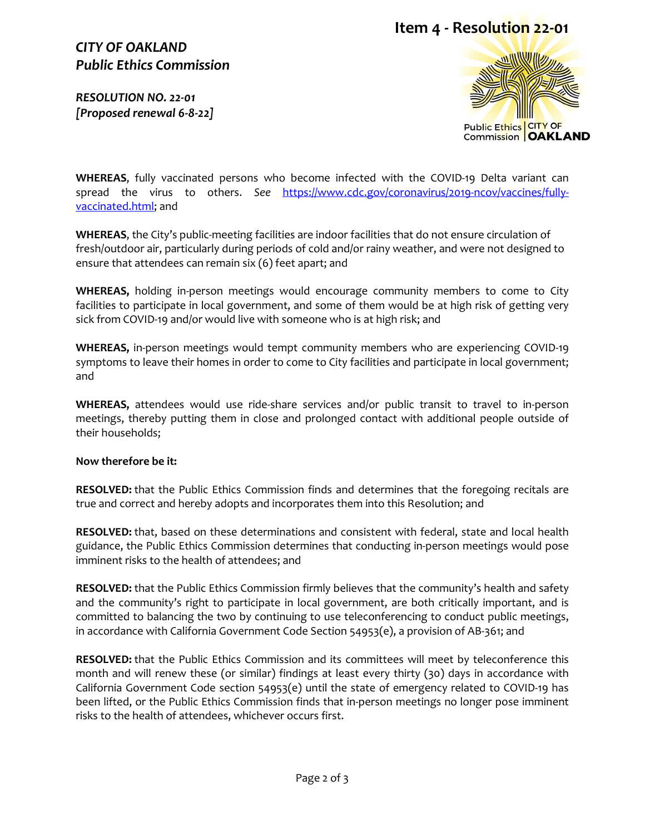### *CITY OF OAKLAND Public Ethics Commission*

*RESOLUTION NO. 22-01 [Proposed renewal 6-8-22]* 





**WHEREAS**, fully vaccinated persons who become infected with the COVID-19 Delta variant can spread the virus to others. *See* [https://www.cdc.gov/coronavirus/2019-ncov/vaccines/fully](https://www.cdc.gov/coronavirus/2019-ncov/vaccines/fully-vaccinated.html)[vaccinated.html;](https://www.cdc.gov/coronavirus/2019-ncov/vaccines/fully-vaccinated.html) and

**WHEREAS**, the City's public-meeting facilities are indoor facilities that do not ensure circulation of fresh/outdoor air, particularly during periods of cold and/or rainy weather, and were not designed to ensure that attendees can remain six (6) feet apart; and

**WHEREAS,** holding in-person meetings would encourage community members to come to City facilities to participate in local government, and some of them would be at high risk of getting very sick from COVID-19 and/or would live with someone who is at high risk; and

**WHEREAS,** in-person meetings would tempt community members who are experiencing COVID-19 symptoms to leave their homes in order to come to City facilities and participate in local government; and

**WHEREAS,** attendees would use ride-share services and/or public transit to travel to in-person meetings, thereby putting them in close and prolonged contact with additional people outside of their households;

#### **Now therefore be it:**

**RESOLVED:** that the Public Ethics Commission finds and determines that the foregoing recitals are true and correct and hereby adopts and incorporates them into this Resolution; and

**RESOLVED:** that, based on these determinations and consistent with federal, state and local health guidance, the Public Ethics Commission determines that conducting in-person meetings would pose imminent risks to the health of attendees; and

**RESOLVED:** that the Public Ethics Commission firmly believes that the community's health and safety and the community's right to participate in local government, are both critically important, and is committed to balancing the two by continuing to use teleconferencing to conduct public meetings, in accordance with California Government Code Section 54953(e), a provision of AB-361; and

**RESOLVED:** that the Public Ethics Commission and its committees will meet by teleconference this month and will renew these (or similar) findings at least every thirty (30) days in accordance with California Government Code section 54953(e) until the state of emergency related to COVID-19 has been lifted, or the Public Ethics Commission finds that in-person meetings no longer pose imminent risks to the health of attendees, whichever occurs first.